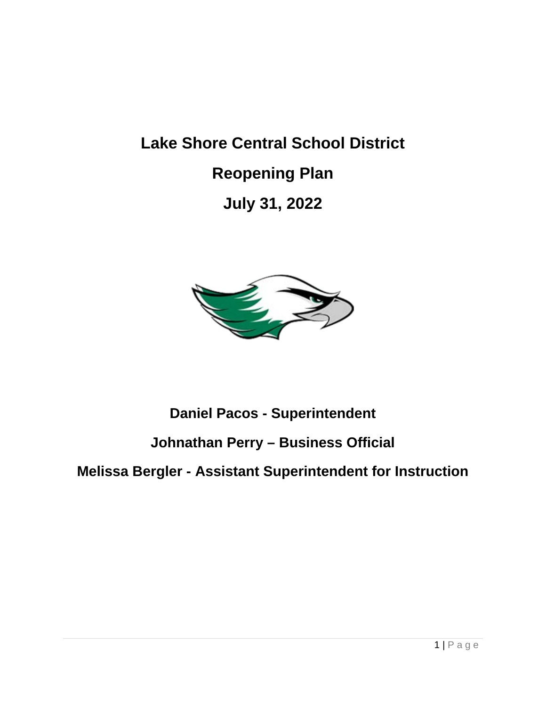# **Lake Shore Central School District Reopening Plan July 31, 2022**



### **Daniel Pacos - Superintendent**

### **Johnathan Perry – Business Official**

### **Melissa Bergler - Assistant Superintendent for Instruction**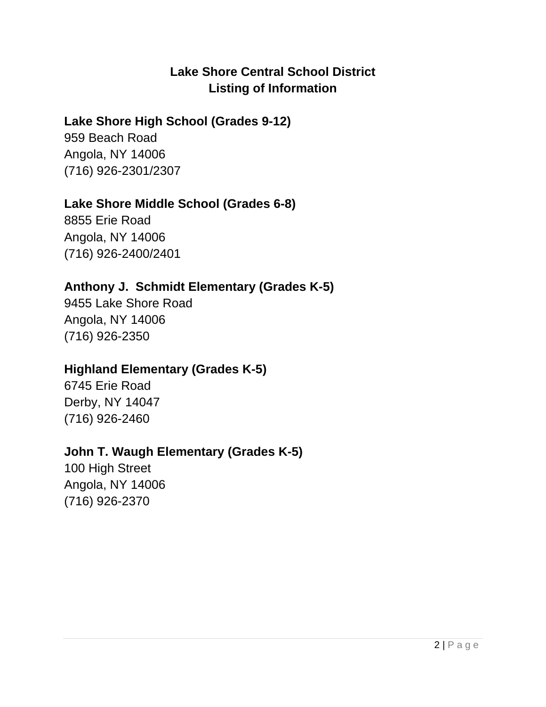### **Lake Shore Central School District Listing of Information**

### **Lake Shore High School (Grades 9-12)**

959 Beach Road Angola, NY 14006 (716) 926-2301/2307

### **Lake Shore Middle School (Grades 6-8)**

8855 Erie Road Angola, NY 14006 (716) 926-2400/2401

### **Anthony J. Schmidt Elementary (Grades K-5)**

9455 Lake Shore Road Angola, NY 14006 (716) 926-2350

### **Highland Elementary (Grades K-5)**

6745 Erie Road Derby, NY 14047 (716) 926-2460

### **John T. Waugh Elementary (Grades K-5)**

100 High Street Angola, NY 14006 (716) 926-2370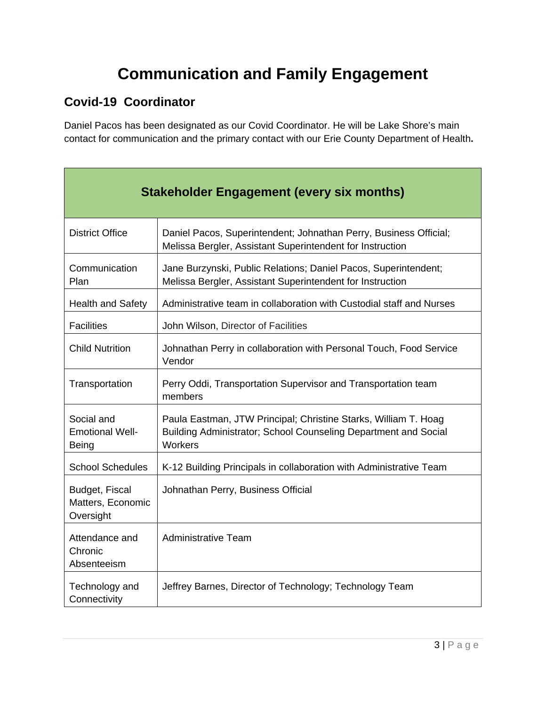# **Communication and Family Engagement**

### **Covid-19 Coordinator**

Daniel Pacos has been designated as our Covid Coordinator. He will be Lake Shore's main contact for communication and the primary contact with our Erie County Department of Health**.**

| <b>Stakeholder Engagement (every six months)</b>     |                                                                                                                                               |  |
|------------------------------------------------------|-----------------------------------------------------------------------------------------------------------------------------------------------|--|
| <b>District Office</b>                               | Daniel Pacos, Superintendent; Johnathan Perry, Business Official;<br>Melissa Bergler, Assistant Superintendent for Instruction                |  |
| Communication<br>Plan                                | Jane Burzynski, Public Relations; Daniel Pacos, Superintendent;<br>Melissa Bergler, Assistant Superintendent for Instruction                  |  |
| <b>Health and Safety</b>                             | Administrative team in collaboration with Custodial staff and Nurses                                                                          |  |
| <b>Facilities</b>                                    | John Wilson, Director of Facilities                                                                                                           |  |
| <b>Child Nutrition</b>                               | Johnathan Perry in collaboration with Personal Touch, Food Service<br>Vendor                                                                  |  |
| Transportation                                       | Perry Oddi, Transportation Supervisor and Transportation team<br>members                                                                      |  |
| Social and<br><b>Emotional Well-</b><br><b>Being</b> | Paula Eastman, JTW Principal; Christine Starks, William T. Hoag<br>Building Administrator; School Counseling Department and Social<br>Workers |  |
| <b>School Schedules</b>                              | K-12 Building Principals in collaboration with Administrative Team                                                                            |  |
| Budget, Fiscal<br>Matters, Economic<br>Oversight     | Johnathan Perry, Business Official                                                                                                            |  |
| Attendance and<br>Chronic<br>Absenteeism             | <b>Administrative Team</b>                                                                                                                    |  |
| Technology and<br>Connectivity                       | Jeffrey Barnes, Director of Technology; Technology Team                                                                                       |  |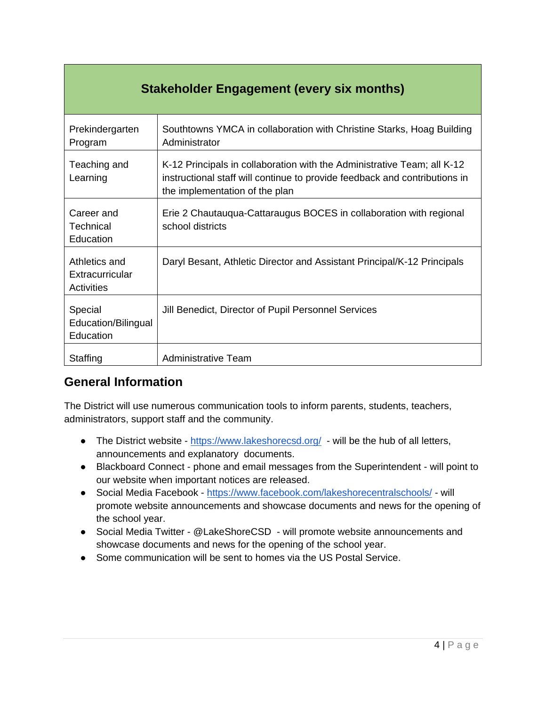| <b>Stakeholder Engagement (every six months)</b> |                                                                                                                                                                                         |  |
|--------------------------------------------------|-----------------------------------------------------------------------------------------------------------------------------------------------------------------------------------------|--|
| Prekindergarten<br>Program                       | Southtowns YMCA in collaboration with Christine Starks, Hoag Building<br>Administrator                                                                                                  |  |
| Teaching and<br>Learning                         | K-12 Principals in collaboration with the Administrative Team; all K-12<br>instructional staff will continue to provide feedback and contributions in<br>the implementation of the plan |  |
| Career and<br>Technical<br>Education             | Erie 2 Chautauqua-Cattaraugus BOCES in collaboration with regional<br>school districts                                                                                                  |  |
| Athletics and<br>Extracurricular<br>Activities   | Daryl Besant, Athletic Director and Assistant Principal/K-12 Principals                                                                                                                 |  |
| Special<br>Education/Bilingual<br>Education      | Jill Benedict, Director of Pupil Personnel Services                                                                                                                                     |  |
| Staffing                                         | <b>Administrative Team</b>                                                                                                                                                              |  |

### **General Information**

The District will use numerous communication tools to inform parents, students, teachers, administrators, support staff and the community.

- The District website <https://www.lakeshorecsd.org/> will be the hub of all letters, announcements and explanatory documents.
- Blackboard Connect phone and email messages from the Superintendent will point to our website when important notices are released.
- Social Media Facebook <https://www.facebook.com/lakeshorecentralschools/> will promote website announcements and showcase documents and news for the opening of the school year.
- Social Media Twitter @LakeShoreCSD will promote website announcements and showcase documents and news for the opening of the school year.
- Some communication will be sent to homes via the US Postal Service.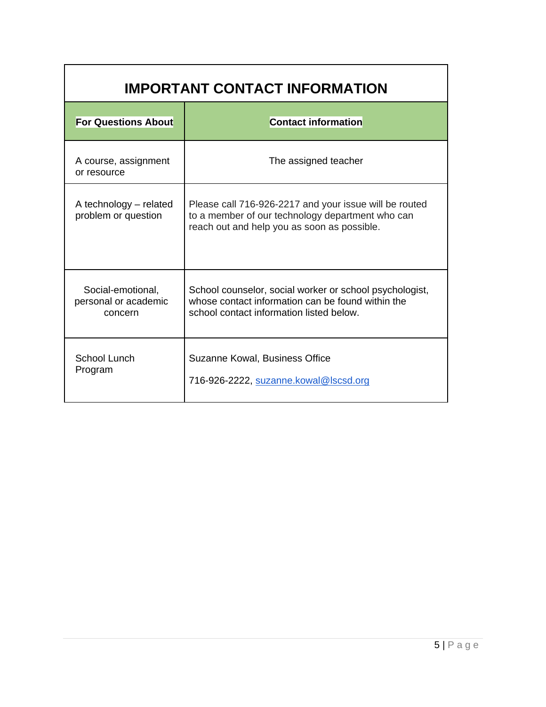| <b>IMPORTANT CONTACT INFORMATION</b>                 |                                                                                                                                                           |  |  |
|------------------------------------------------------|-----------------------------------------------------------------------------------------------------------------------------------------------------------|--|--|
| <b>For Questions About</b>                           | <b>Contact information</b>                                                                                                                                |  |  |
| A course, assignment<br>or resource                  | The assigned teacher                                                                                                                                      |  |  |
| A technology – related<br>problem or question        | Please call 716-926-2217 and your issue will be routed<br>to a member of our technology department who can<br>reach out and help you as soon as possible. |  |  |
| Social-emotional,<br>personal or academic<br>concern | School counselor, social worker or school psychologist,<br>whose contact information can be found within the<br>school contact information listed below.  |  |  |
| School Lunch<br>Program                              | Suzanne Kowal, Business Office<br>716-926-2222, suzanne.kowal@lscsd.org                                                                                   |  |  |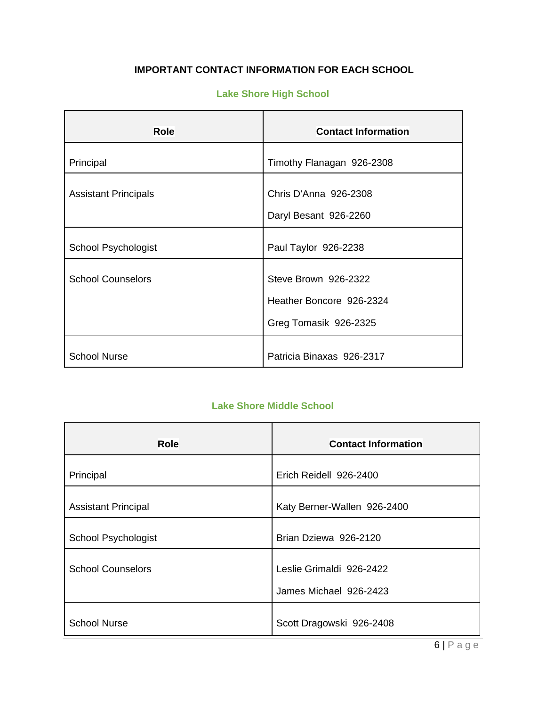#### **IMPORTANT CONTACT INFORMATION FOR EACH SCHOOL**

#### **Lake Shore High School**

| <b>Role</b>                 | <b>Contact Information</b> |  |
|-----------------------------|----------------------------|--|
| Principal                   | Timothy Flanagan 926-2308  |  |
| <b>Assistant Principals</b> | Chris D'Anna 926-2308      |  |
|                             | Daryl Besant 926-2260      |  |
| School Psychologist         | Paul Taylor 926-2238       |  |
| <b>School Counselors</b>    | Steve Brown 926-2322       |  |
|                             | Heather Boncore 926-2324   |  |
|                             | Greg Tomasik 926-2325      |  |
| <b>School Nurse</b>         | Patricia Binaxas 926-2317  |  |

#### **Lake Shore Middle School**

| Role                       | <b>Contact Information</b>                         |  |
|----------------------------|----------------------------------------------------|--|
| Principal                  | Erich Reidell 926-2400                             |  |
| <b>Assistant Principal</b> | Katy Berner-Wallen 926-2400                        |  |
| School Psychologist        | Brian Dziewa 926-2120                              |  |
| <b>School Counselors</b>   | Leslie Grimaldi 926-2422<br>James Michael 926-2423 |  |
| <b>School Nurse</b>        | Scott Dragowski 926-2408                           |  |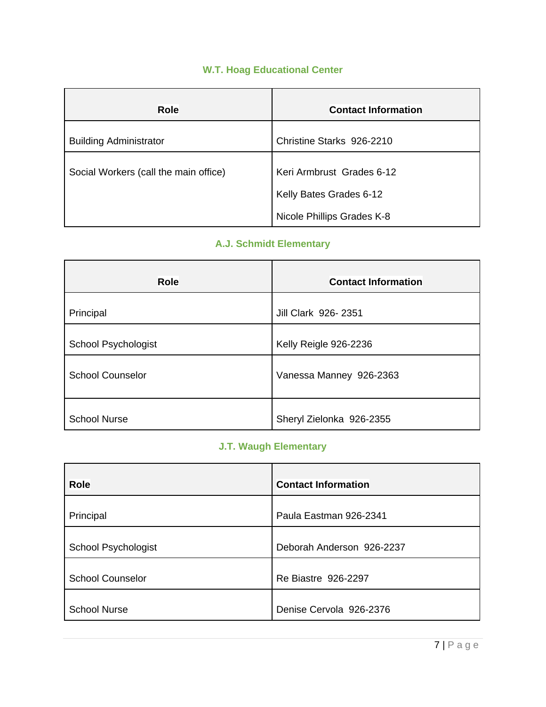#### **W.T. Hoag Educational Center**

| <b>Role</b>                           | <b>Contact Information</b>                            |  |
|---------------------------------------|-------------------------------------------------------|--|
| <b>Building Administrator</b>         | Christine Starks 926-2210                             |  |
| Social Workers (call the main office) | Keri Armbrust Grades 6-12                             |  |
|                                       | Kelly Bates Grades 6-12<br>Nicole Phillips Grades K-8 |  |

### **A.J. Schmidt Elementary**

| <b>Role</b>             | <b>Contact Information</b> |  |
|-------------------------|----------------------------|--|
| Principal               | Jill Clark 926-2351        |  |
| School Psychologist     | Kelly Reigle 926-2236      |  |
| <b>School Counselor</b> | Vanessa Manney 926-2363    |  |
| <b>School Nurse</b>     | Sheryl Zielonka 926-2355   |  |

#### **J.T. Waugh Elementary**

| <b>Role</b>                | <b>Contact Information</b> |  |
|----------------------------|----------------------------|--|
| Principal                  | Paula Eastman 926-2341     |  |
| <b>School Psychologist</b> | Deborah Anderson 926-2237  |  |
| <b>School Counselor</b>    | Re Biastre 926-2297        |  |
| <b>School Nurse</b>        | Denise Cervola 926-2376    |  |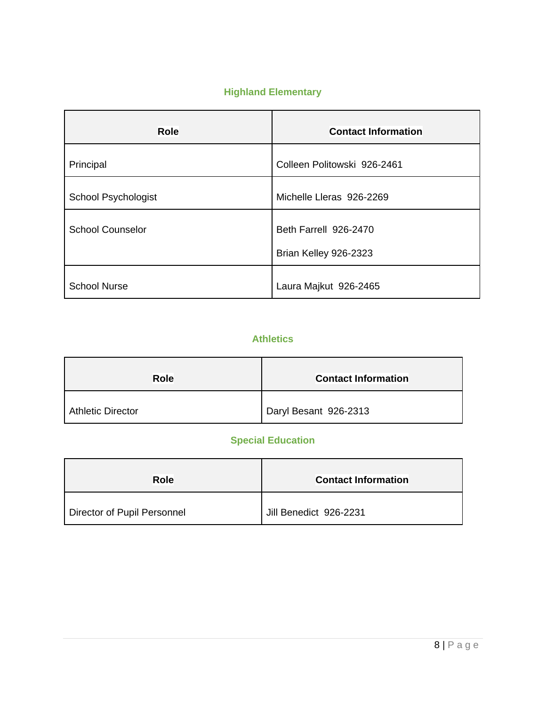### **Highland Elementary**

| <b>Role</b>                | <b>Contact Information</b>                     |  |
|----------------------------|------------------------------------------------|--|
| Principal                  | Colleen Politowski 926-2461                    |  |
| <b>School Psychologist</b> | Michelle Lleras 926-2269                       |  |
| <b>School Counselor</b>    | Beth Farrell 926-2470<br>Brian Kelley 926-2323 |  |
|                            |                                                |  |
| <b>School Nurse</b>        | Laura Majkut 926-2465                          |  |

#### **Athletics**

| <b>Role</b>              | <b>Contact Information</b> |  |
|--------------------------|----------------------------|--|
| <b>Athletic Director</b> | Daryl Besant 926-2313      |  |

### **Special Education**

| Role                        | <b>Contact Information</b> |  |
|-----------------------------|----------------------------|--|
| Director of Pupil Personnel | Jill Benedict 926-2231     |  |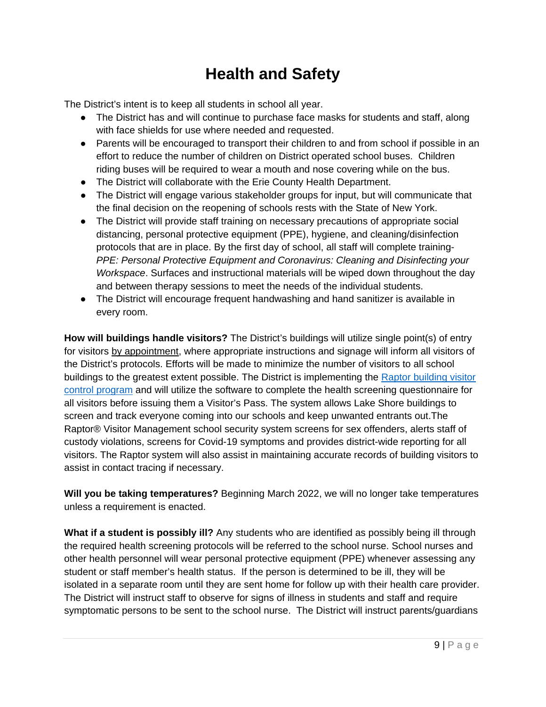# **Health and Safety**

The District's intent is to keep all students in school all year.

- The District has and will continue to purchase face masks for students and staff, along with face shields for use where needed and requested.
- Parents will be encouraged to transport their children to and from school if possible in an effort to reduce the number of children on District operated school buses. Children riding buses will be required to wear a mouth and nose covering while on the bus.
- The District will collaborate with the Erie County Health Department.
- The District will engage various stakeholder groups for input, but will communicate that the final decision on the reopening of schools rests with the State of New York.
- The District will provide staff training on necessary precautions of appropriate social distancing, personal protective equipment (PPE), hygiene, and cleaning/disinfection protocols that are in place. By the first day of school, all staff will complete training-*PPE: Personal Protective Equipment and Coronavirus: Cleaning and Disinfecting your Workspace*. Surfaces and instructional materials will be wiped down throughout the day and between therapy sessions to meet the needs of the individual students.
- The District will encourage frequent handwashing and hand sanitizer is available in every room.

**How will buildings handle visitors?** The District's buildings will utilize single point(s) of entry for visitors by appointment, where appropriate instructions and signage will inform all visitors of the District's protocols. Efforts will be made to minimize the number of visitors to all school buildings to the greatest extent possible. The District is implementing the [Raptor building visitor](https://raptortech.com/)  [control program](https://raptortech.com/) and will utilize the software to complete the health screening questionnaire for all visitors before issuing them a Visitor's Pass. The system allows Lake Shore buildings to screen and track everyone coming into our schools and keep unwanted entrants out.The Raptor® Visitor Management school security system screens for sex offenders, alerts staff of custody violations, screens for Covid-19 symptoms and provides district-wide reporting for all visitors. The Raptor system will also assist in maintaining accurate records of building visitors to assist in contact tracing if necessary.

**Will you be taking temperatures?** Beginning March 2022, we will no longer take temperatures unless a requirement is enacted.

**What if a student is possibly ill?** Any students who are identified as possibly being ill through the required health screening protocols will be referred to the school nurse. School nurses and other health personnel will wear personal protective equipment (PPE) whenever assessing any student or staff member's health status. If the person is determined to be ill, they will be isolated in a separate room until they are sent home for follow up with their health care provider. The District will instruct staff to observe for signs of illness in students and staff and require symptomatic persons to be sent to the school nurse. The District will instruct parents/guardians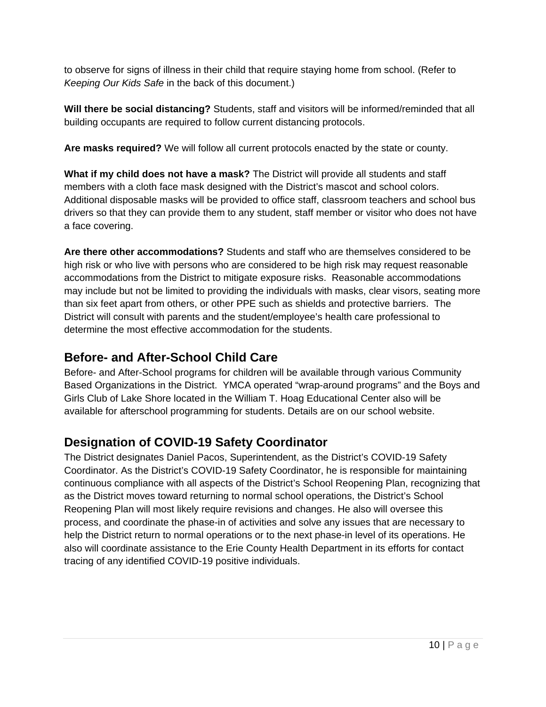to observe for signs of illness in their child that require staying home from school. (Refer to *Keeping Our Kids Safe* in the back of this document.)

**Will there be social distancing?** Students, staff and visitors will be informed/reminded that all building occupants are required to follow current distancing protocols.

**Are masks required?** We will follow all current protocols enacted by the state or county.

**What if my child does not have a mask?** The District will provide all students and staff members with a cloth face mask designed with the District's mascot and school colors. Additional disposable masks will be provided to office staff, classroom teachers and school bus drivers so that they can provide them to any student, staff member or visitor who does not have a face covering.

**Are there other accommodations?** Students and staff who are themselves considered to be high risk or who live with persons who are considered to be high risk may request reasonable accommodations from the District to mitigate exposure risks. Reasonable accommodations may include but not be limited to providing the individuals with masks, clear visors, seating more than six feet apart from others, or other PPE such as shields and protective barriers. The District will consult with parents and the student/employee's health care professional to determine the most effective accommodation for the students.

### **Before- and After-School Child Care**

Before- and After-School programs for children will be available through various Community Based Organizations in the District. YMCA operated "wrap-around programs" and the Boys and Girls Club of Lake Shore located in the William T. Hoag Educational Center also will be available for afterschool programming for students. Details are on our school website.

### **Designation of COVID-19 Safety Coordinator**

The District designates Daniel Pacos, Superintendent, as the District's COVID-19 Safety Coordinator. As the District's COVID-19 Safety Coordinator, he is responsible for maintaining continuous compliance with all aspects of the District's School Reopening Plan, recognizing that as the District moves toward returning to normal school operations, the District's School Reopening Plan will most likely require revisions and changes. He also will oversee this process, and coordinate the phase-in of activities and solve any issues that are necessary to help the District return to normal operations or to the next phase-in level of its operations. He also will coordinate assistance to the Erie County Health Department in its efforts for contact tracing of any identified COVID-19 positive individuals.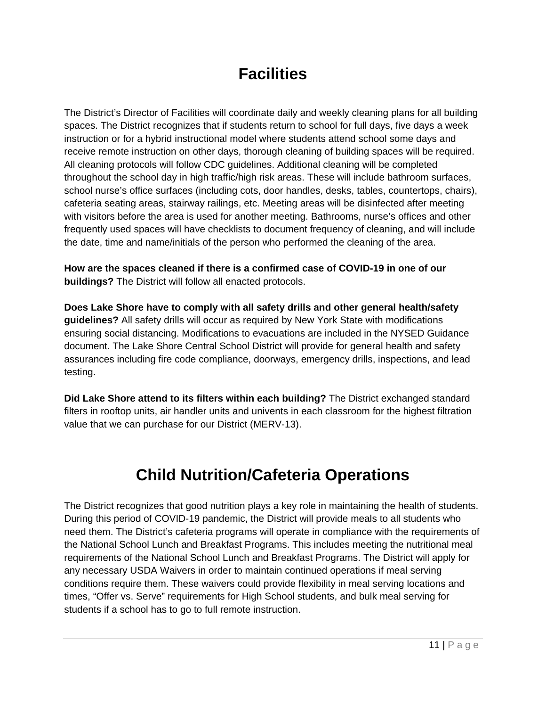# **Facilities**

The District's Director of Facilities will coordinate daily and weekly cleaning plans for all building spaces. The District recognizes that if students return to school for full days, five days a week instruction or for a hybrid instructional model where students attend school some days and receive remote instruction on other days, thorough cleaning of building spaces will be required. All cleaning protocols will follow CDC guidelines. Additional cleaning will be completed throughout the school day in high traffic/high risk areas. These will include bathroom surfaces, school nurse's office surfaces (including cots, door handles, desks, tables, countertops, chairs), cafeteria seating areas, stairway railings, etc. Meeting areas will be disinfected after meeting with visitors before the area is used for another meeting. Bathrooms, nurse's offices and other frequently used spaces will have checklists to document frequency of cleaning, and will include the date, time and name/initials of the person who performed the cleaning of the area.

**How are the spaces cleaned if there is a confirmed case of COVID-19 in one of our buildings?** The District will follow all enacted protocols.

**Does Lake Shore have to comply with all safety drills and other general health/safety guidelines?** All safety drills will occur as required by New York State with modifications ensuring social distancing. Modifications to evacuations are included in the NYSED Guidance document. The Lake Shore Central School District will provide for general health and safety assurances including fire code compliance, doorways, emergency drills, inspections, and lead testing.

**Did Lake Shore attend to its filters within each building?** The District exchanged standard filters in rooftop units, air handler units and univents in each classroom for the highest filtration value that we can purchase for our District (MERV-13).

# **Child Nutrition/Cafeteria Operations**

The District recognizes that good nutrition plays a key role in maintaining the health of students. During this period of COVID-19 pandemic, the District will provide meals to all students who need them. The District's cafeteria programs will operate in compliance with the requirements of the National School Lunch and Breakfast Programs. This includes meeting the nutritional meal requirements of the National School Lunch and Breakfast Programs. The District will apply for any necessary USDA Waivers in order to maintain continued operations if meal serving conditions require them. These waivers could provide flexibility in meal serving locations and times, "Offer vs. Serve" requirements for High School students, and bulk meal serving for students if a school has to go to full remote instruction.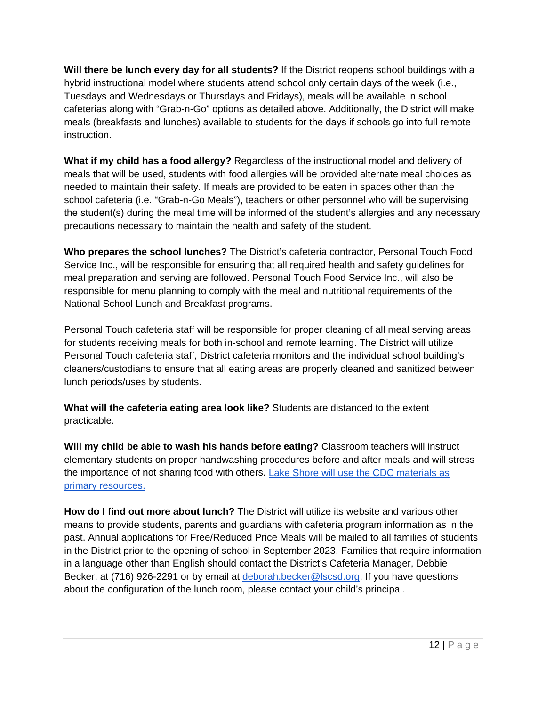**Will there be lunch every day for all students?** If the District reopens school buildings with a hybrid instructional model where students attend school only certain days of the week (i.e., Tuesdays and Wednesdays or Thursdays and Fridays), meals will be available in school cafeterias along with "Grab-n-Go" options as detailed above. Additionally, the District will make meals (breakfasts and lunches) available to students for the days if schools go into full remote instruction.

**What if my child has a food allergy?** Regardless of the instructional model and delivery of meals that will be used, students with food allergies will be provided alternate meal choices as needed to maintain their safety. If meals are provided to be eaten in spaces other than the school cafeteria (i.e. "Grab-n-Go Meals"), teachers or other personnel who will be supervising the student(s) during the meal time will be informed of the student's allergies and any necessary precautions necessary to maintain the health and safety of the student.

**Who prepares the school lunches?** The District's cafeteria contractor, Personal Touch Food Service Inc., will be responsible for ensuring that all required health and safety guidelines for meal preparation and serving are followed. Personal Touch Food Service Inc., will also be responsible for menu planning to comply with the meal and nutritional requirements of the National School Lunch and Breakfast programs.

Personal Touch cafeteria staff will be responsible for proper cleaning of all meal serving areas for students receiving meals for both in-school and remote learning. The District will utilize Personal Touch cafeteria staff, District cafeteria monitors and the individual school building's cleaners/custodians to ensure that all eating areas are properly cleaned and sanitized between lunch periods/uses by students.

**What will the cafeteria eating area look like?** Students are distanced to the extent practicable.

**Will my child be able to wash his hands before eating?** Classroom teachers will instruct elementary students on proper handwashing procedures before and after meals and will stress the importance of not sharing food with others. [Lake Shore will use the CDC materials as](https://www.cdc.gov/handwashing/index.html)  [primary resources.](https://www.cdc.gov/handwashing/index.html) 

**How do I find out more about lunch?** The District will utilize its website and various other means to provide students, parents and guardians with cafeteria program information as in the past. Annual applications for Free/Reduced Price Meals will be mailed to all families of students in the District prior to the opening of school in September 2023. Families that require information in a language other than English should contact the District's Cafeteria Manager, Debbie Becker, at (716) 926-2291 or by email at [deborah.becker@lscsd.org.](mailto:debbie.becker@lscsd.org) If you have questions about the configuration of the lunch room, please contact your child's principal.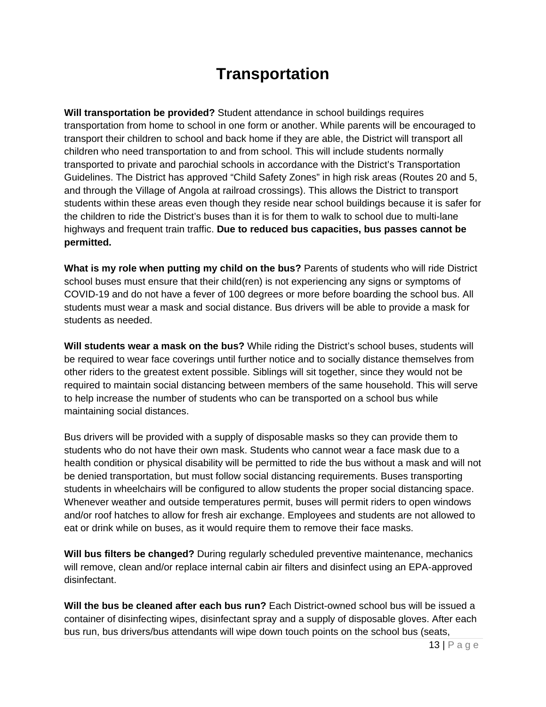# **Transportation**

**Will transportation be provided?** Student attendance in school buildings requires transportation from home to school in one form or another. While parents will be encouraged to transport their children to school and back home if they are able, the District will transport all children who need transportation to and from school. This will include students normally transported to private and parochial schools in accordance with the District's Transportation Guidelines. The District has approved "Child Safety Zones" in high risk areas (Routes 20 and 5, and through the Village of Angola at railroad crossings). This allows the District to transport students within these areas even though they reside near school buildings because it is safer for the children to ride the District's buses than it is for them to walk to school due to multi-lane highways and frequent train traffic. **Due to reduced bus capacities, bus passes cannot be permitted.**

**What is my role when putting my child on the bus?** Parents of students who will ride District school buses must ensure that their child(ren) is not experiencing any signs or symptoms of COVID-19 and do not have a fever of 100 degrees or more before boarding the school bus. All students must wear a mask and social distance. Bus drivers will be able to provide a mask for students as needed.

**Will students wear a mask on the bus?** While riding the District's school buses, students will be required to wear face coverings until further notice and to socially distance themselves from other riders to the greatest extent possible. Siblings will sit together, since they would not be required to maintain social distancing between members of the same household. This will serve to help increase the number of students who can be transported on a school bus while maintaining social distances.

Bus drivers will be provided with a supply of disposable masks so they can provide them to students who do not have their own mask. Students who cannot wear a face mask due to a health condition or physical disability will be permitted to ride the bus without a mask and will not be denied transportation, but must follow social distancing requirements. Buses transporting students in wheelchairs will be configured to allow students the proper social distancing space. Whenever weather and outside temperatures permit, buses will permit riders to open windows and/or roof hatches to allow for fresh air exchange. Employees and students are not allowed to eat or drink while on buses, as it would require them to remove their face masks.

**Will bus filters be changed?** During regularly scheduled preventive maintenance, mechanics will remove, clean and/or replace internal cabin air filters and disinfect using an EPA-approved disinfectant.

**Will the bus be cleaned after each bus run?** Each District-owned school bus will be issued a container of disinfecting wipes, disinfectant spray and a supply of disposable gloves. After each bus run, bus drivers/bus attendants will wipe down touch points on the school bus (seats,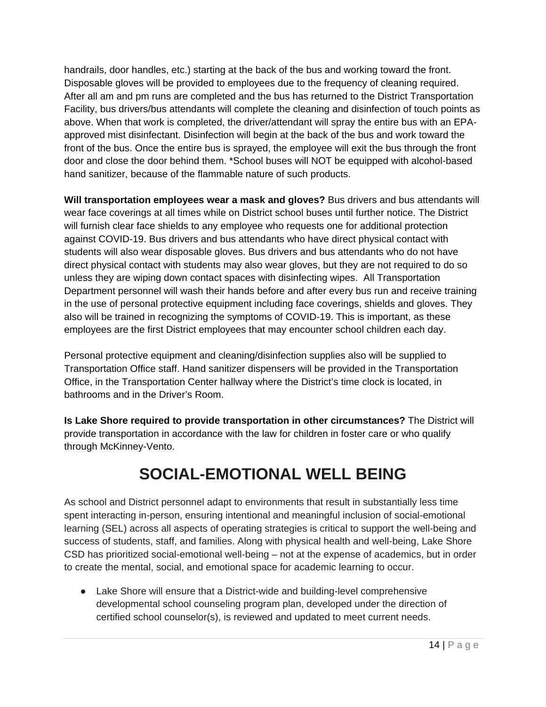handrails, door handles, etc.) starting at the back of the bus and working toward the front. Disposable gloves will be provided to employees due to the frequency of cleaning required. After all am and pm runs are completed and the bus has returned to the District Transportation Facility, bus drivers/bus attendants will complete the cleaning and disinfection of touch points as above. When that work is completed, the driver/attendant will spray the entire bus with an EPAapproved mist disinfectant. Disinfection will begin at the back of the bus and work toward the front of the bus. Once the entire bus is sprayed, the employee will exit the bus through the front door and close the door behind them. \*School buses will NOT be equipped with alcohol-based hand sanitizer, because of the flammable nature of such products.

**Will transportation employees wear a mask and gloves?** Bus drivers and bus attendants will wear face coverings at all times while on District school buses until further notice. The District will furnish clear face shields to any employee who requests one for additional protection against COVID-19. Bus drivers and bus attendants who have direct physical contact with students will also wear disposable gloves. Bus drivers and bus attendants who do not have direct physical contact with students may also wear gloves, but they are not required to do so unless they are wiping down contact spaces with disinfecting wipes. All Transportation Department personnel will wash their hands before and after every bus run and receive training in the use of personal protective equipment including face coverings, shields and gloves. They also will be trained in recognizing the symptoms of COVID-19. This is important, as these employees are the first District employees that may encounter school children each day.

Personal protective equipment and cleaning/disinfection supplies also will be supplied to Transportation Office staff. Hand sanitizer dispensers will be provided in the Transportation Office, in the Transportation Center hallway where the District's time clock is located, in bathrooms and in the Driver's Room.

**Is Lake Shore required to provide transportation in other circumstances?** The District will provide transportation in accordance with the law for children in foster care or who qualify through McKinney-Vento.

# **SOCIAL-EMOTIONAL WELL BEING**

As school and District personnel adapt to environments that result in substantially less time spent interacting in-person, ensuring intentional and meaningful inclusion of social-emotional learning (SEL) across all aspects of operating strategies is critical to support the well-being and success of students, staff, and families. Along with physical health and well-being, Lake Shore CSD has prioritized social-emotional well-being – not at the expense of academics, but in order to create the mental, social, and emotional space for academic learning to occur.

● Lake Shore will ensure that a District-wide and building-level comprehensive developmental school counseling program plan, developed under the direction of certified school counselor(s), is reviewed and updated to meet current needs.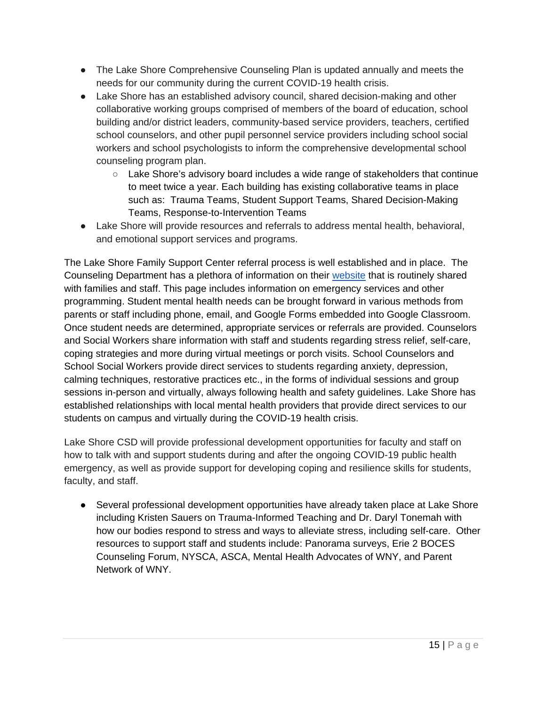- The Lake Shore Comprehensive Counseling Plan is updated annually and meets the needs for our community during the current COVID-19 health crisis.
- Lake Shore has an established advisory council, shared decision-making and other collaborative working groups comprised of members of the board of education, school building and/or district leaders, community-based service providers, teachers, certified school counselors, and other pupil personnel service providers including school social workers and school psychologists to inform the comprehensive developmental school counseling program plan.
	- Lake Shore's advisory board includes a wide range of stakeholders that continue to meet twice a year. Each building has existing collaborative teams in place such as: Trauma Teams, Student Support Teams, Shared Decision-Making Teams, Response-to-Intervention Teams
- Lake Shore will provide resources and referrals to address mental health, behavioral, and emotional support services and programs.

The Lake Shore Family Support Center referral process is well established and in place. The Counseling Department has a plethora of information on their [website](https://www.lakeshorecsd.org/domain/732) that is routinely shared with families and staff. This page includes information on emergency services and other programming. Student mental health needs can be brought forward in various methods from parents or staff including phone, email, and Google Forms embedded into Google Classroom. Once student needs are determined, appropriate services or referrals are provided. Counselors and Social Workers share information with staff and students regarding stress relief, self-care, coping strategies and more during virtual meetings or porch visits. School Counselors and School Social Workers provide direct services to students regarding anxiety, depression, calming techniques, restorative practices etc., in the forms of individual sessions and group sessions in-person and virtually, always following health and safety guidelines. Lake Shore has established relationships with local mental health providers that provide direct services to our students on campus and virtually during the COVID-19 health crisis.

Lake Shore CSD will provide professional development opportunities for faculty and staff on how to talk with and support students during and after the ongoing COVID-19 public health emergency, as well as provide support for developing coping and resilience skills for students, faculty, and staff.

• Several professional development opportunities have already taken place at Lake Shore including Kristen Sauers on Trauma-Informed Teaching and Dr. Daryl Tonemah with how our bodies respond to stress and ways to alleviate stress, including self-care. Other resources to support staff and students include: Panorama surveys, Erie 2 BOCES Counseling Forum, NYSCA, ASCA, Mental Health Advocates of WNY, and Parent Network of WNY.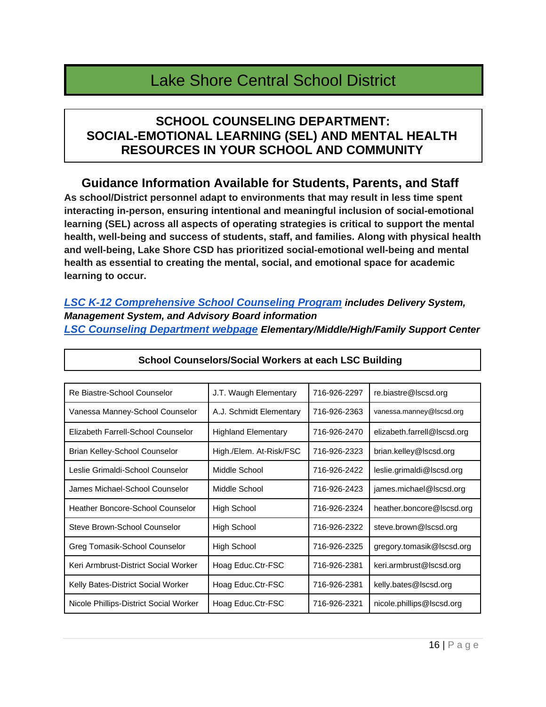# Lake Shore Central School District

### **SCHOOL COUNSELING DEPARTMENT: SOCIAL-EMOTIONAL LEARNING (SEL) AND MENTAL HEALTH RESOURCES IN YOUR SCHOOL AND COMMUNITY**

### **Guidance Information Available for Students, Parents, and Staff**

**As school/District personnel adapt to environments that may result in less time spent interacting in-person, ensuring intentional and meaningful inclusion of social-emotional learning (SEL) across all aspects of operating strategies is critical to support the mental health, well-being and success of students, staff, and families. Along with physical health and well-being, Lake Shore CSD has prioritized social-emotional well-being and mental health as essential to creating the mental, social, and emotional space for academic learning to occur.** 

*[LSC K-12 Comprehensive School Counseling Program](https://docs.google.com/document/d/1dV_Yd-6geVqvjBz5O0XLiPjRxuI0hiOxyVWeYMzBxNE/edit) includes Delivery System, Management System, and Advisory Board information [LSC Counseling Department webpage](https://www.lakeshorecsd.org/domain/732) Elementary/Middle/High/Family Support Center*

| Re Biastre-School Counselor            | J.T. Waugh Elementary      | 716-926-2297 | re.biastre@lscsd.org        |
|----------------------------------------|----------------------------|--------------|-----------------------------|
| Vanessa Manney-School Counselor        | A.J. Schmidt Elementary    | 716-926-2363 | vanessa.manney@lscsd.org    |
| Elizabeth Farrell-School Counselor     | <b>Highland Elementary</b> | 716-926-2470 | elizabeth.farrell@lscsd.org |
| Brian Kelley-School Counselor          | High./Elem. At-Risk/FSC    | 716-926-2323 | brian.kelley@lscsd.org      |
| Leslie Grimaldi-School Counselor       | Middle School              | 716-926-2422 | leslie.grimaldi@lscsd.org   |
| James Michael-School Counselor         | Middle School              | 716-926-2423 | james.michael@lscsd.org     |
| Heather Boncore-School Counselor       | High School                | 716-926-2324 | heather.boncore@lscsd.org   |
| Steve Brown-School Counselor           | <b>High School</b>         | 716-926-2322 | steve.brown@lscsd.org       |
| Greg Tomasik-School Counselor          | <b>High School</b>         | 716-926-2325 | gregory.tomasik@lscsd.org   |
| Keri Armbrust-District Social Worker   | Hoag Educ.Ctr-FSC          | 716-926-2381 | keri.armbrust@lscsd.org     |
| Kelly Bates-District Social Worker     | Hoag Educ.Ctr-FSC          | 716-926-2381 | kelly.bates@lscsd.org       |
| Nicole Phillips-District Social Worker | Hoag Educ.Ctr-FSC          | 716-926-2321 | nicole.phillips@lscsd.org   |

#### **School Counselors/Social Workers at each LSC Building**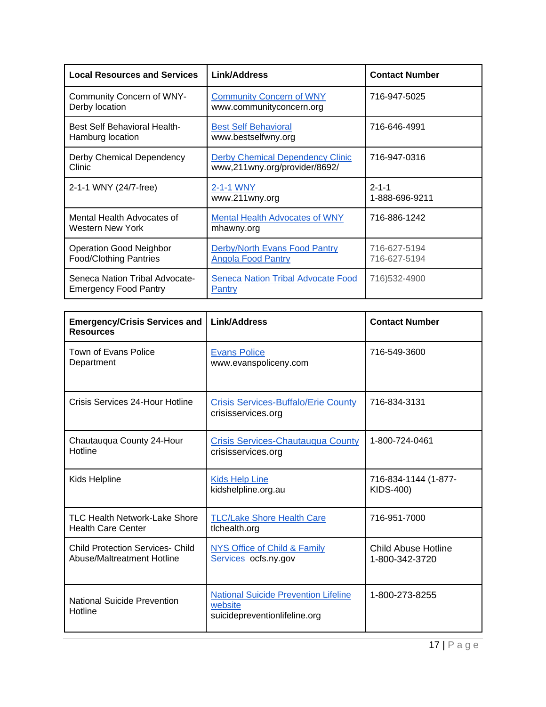| <b>Local Resources and Services</b>                             | Link/Address                                                             | <b>Contact Number</b>         |
|-----------------------------------------------------------------|--------------------------------------------------------------------------|-------------------------------|
| Community Concern of WNY-<br>Derby location                     | <b>Community Concern of WNY</b><br>www.communityconcern.org              | 716-947-5025                  |
| <b>Best Self Behavioral Health-</b><br>Hamburg location         | <b>Best Self Behavioral</b><br>www.bestselfwny.org                       | 716-646-4991                  |
| Derby Chemical Dependency<br>Clinic                             | <b>Derby Chemical Dependency Clinic</b><br>www,211wny.org/provider/8692/ | 716-947-0316                  |
| 2-1-1 WNY (24/7-free)                                           | 2-1-1 WNY<br>www.211wny.org                                              | $2 - 1 - 1$<br>1-888-696-9211 |
| Mental Health Advocates of<br>Western New York                  | <b>Mental Health Advocates of WNY</b><br>mhawny.org                      | 716-886-1242                  |
| <b>Operation Good Neighbor</b><br><b>Food/Clothing Pantries</b> | Derby/North Evans Food Pantry<br><b>Angola Food Pantry</b>               | 716-627-5194<br>716-627-5194  |
| Seneca Nation Tribal Advocate-<br><b>Emergency Food Pantry</b>  | <b>Seneca Nation Tribal Advocate Food</b><br>Pantry                      | 716)532-4900                  |

| <b>Emergency/Crisis Services and</b><br><b>Resources</b>              | Link/Address                                                                            | <b>Contact Number</b>                        |
|-----------------------------------------------------------------------|-----------------------------------------------------------------------------------------|----------------------------------------------|
| Town of Evans Police<br>Department                                    | <b>Evans Police</b><br>www.evanspoliceny.com                                            | 716-549-3600                                 |
| Crisis Services 24-Hour Hotline                                       | <b>Crisis Services-Buffalo/Erie County</b><br>crisisservices.org                        | 716-834-3131                                 |
| Chautauqua County 24-Hour<br>Hotline                                  | <b>Crisis Services-Chautauqua County</b><br>crisisservices.org                          | 1-800-724-0461                               |
| Kids Helpline                                                         | <b>Kids Help Line</b><br>kidshelpline.org.au                                            | 716-834-1144 (1-877-<br><b>KIDS-400)</b>     |
| <b>TLC Health Network-Lake Shore</b><br><b>Health Care Center</b>     | <b>TLC/Lake Shore Health Care</b><br>tlchealth.org                                      | 716-951-7000                                 |
| <b>Child Protection Services- Child</b><br>Abuse/Maltreatment Hotline | NYS Office of Child & Family<br>Services ocfs.ny.gov                                    | <b>Child Abuse Hotline</b><br>1-800-342-3720 |
| <b>National Suicide Prevention</b><br>Hotline                         | <b>National Suicide Prevention Lifeline</b><br>website<br>suicidepreventionlifeline.org | 1-800-273-8255                               |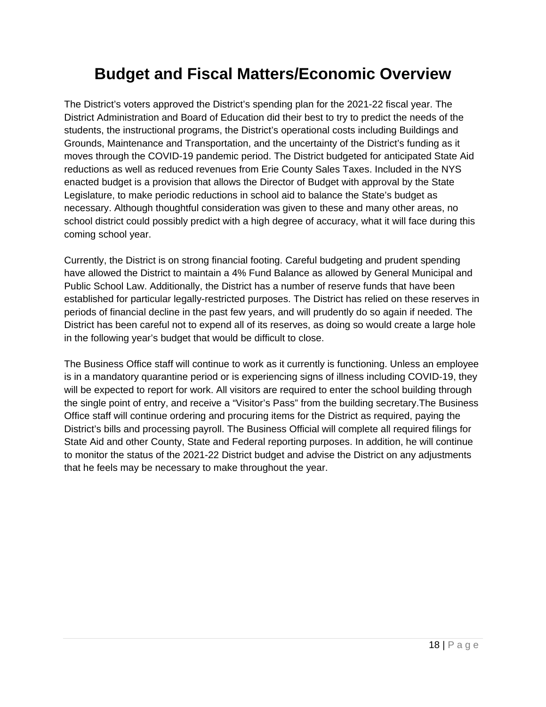# **Budget and Fiscal Matters/Economic Overview**

The District's voters approved the District's spending plan for the 2021-22 fiscal year. The District Administration and Board of Education did their best to try to predict the needs of the students, the instructional programs, the District's operational costs including Buildings and Grounds, Maintenance and Transportation, and the uncertainty of the District's funding as it moves through the COVID-19 pandemic period. The District budgeted for anticipated State Aid reductions as well as reduced revenues from Erie County Sales Taxes. Included in the NYS enacted budget is a provision that allows the Director of Budget with approval by the State Legislature, to make periodic reductions in school aid to balance the State's budget as necessary. Although thoughtful consideration was given to these and many other areas, no school district could possibly predict with a high degree of accuracy, what it will face during this coming school year.

Currently, the District is on strong financial footing. Careful budgeting and prudent spending have allowed the District to maintain a 4% Fund Balance as allowed by General Municipal and Public School Law. Additionally, the District has a number of reserve funds that have been established for particular legally-restricted purposes. The District has relied on these reserves in periods of financial decline in the past few years, and will prudently do so again if needed. The District has been careful not to expend all of its reserves, as doing so would create a large hole in the following year's budget that would be difficult to close.

The Business Office staff will continue to work as it currently is functioning. Unless an employee is in a mandatory quarantine period or is experiencing signs of illness including COVID-19, they will be expected to report for work. All visitors are required to enter the school building through the single point of entry, and receive a "Visitor's Pass" from the building secretary.The Business Office staff will continue ordering and procuring items for the District as required, paying the District's bills and processing payroll. The Business Official will complete all required filings for State Aid and other County, State and Federal reporting purposes. In addition, he will continue to monitor the status of the 2021-22 District budget and advise the District on any adjustments that he feels may be necessary to make throughout the year.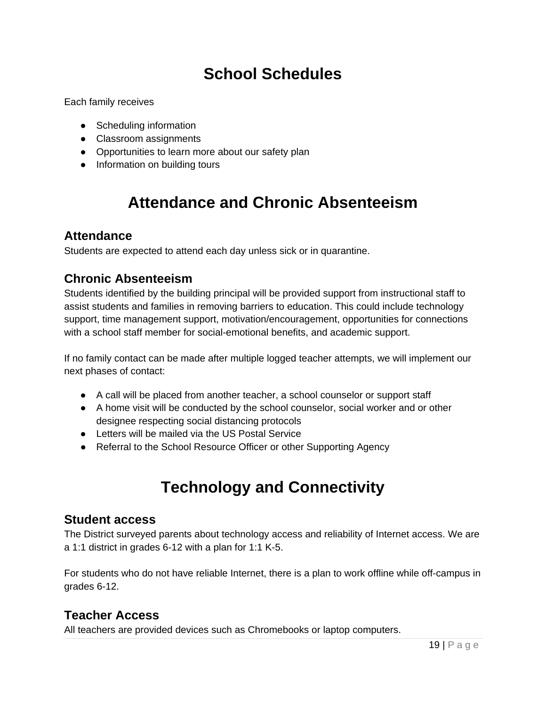# **School Schedules**

Each family receives

- Scheduling information
- Classroom assignments
- Opportunities to learn more about our safety plan
- Information on building tours

# **Attendance and Chronic Absenteeism**

#### **Attendance**

Students are expected to attend each day unless sick or in quarantine.

### **Chronic Absenteeism**

Students identified by the building principal will be provided support from instructional staff to assist students and families in removing barriers to education. This could include technology support, time management support, motivation/encouragement, opportunities for connections with a school staff member for social-emotional benefits, and academic support.

If no family contact can be made after multiple logged teacher attempts, we will implement our next phases of contact:

- A call will be placed from another teacher, a school counselor or support staff
- A home visit will be conducted by the school counselor, social worker and or other designee respecting social distancing protocols
- Letters will be mailed via the US Postal Service
- Referral to the School Resource Officer or other Supporting Agency

# **Technology and Connectivity**

#### **Student access**

The District surveyed parents about technology access and reliability of Internet access. We are a 1:1 district in grades 6-12 with a plan for 1:1 K-5.

For students who do not have reliable Internet, there is a plan to work offline while off-campus in grades 6-12.

### **Teacher Access**

All teachers are provided devices such as Chromebooks or laptop computers.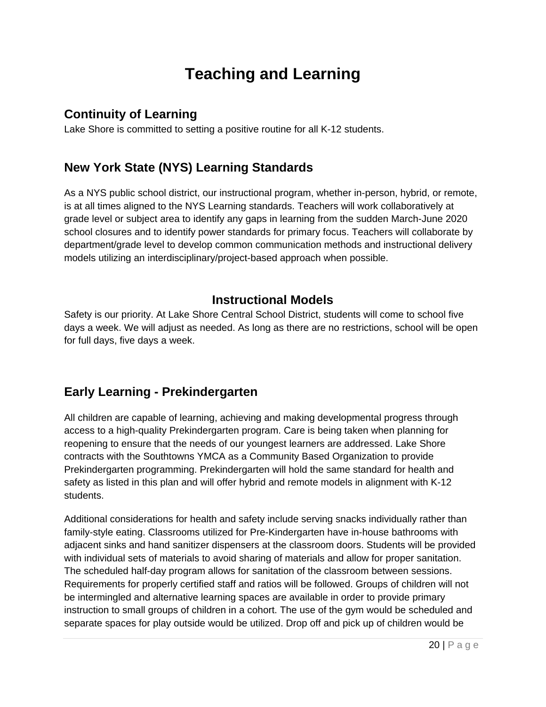# **Teaching and Learning**

### **Continuity of Learning**

Lake Shore is committed to setting a positive routine for all K-12 students.

### **New York State (NYS) Learning Standards**

As a NYS public school district, our instructional program, whether in-person, hybrid, or remote, is at all times aligned to the NYS Learning standards. Teachers will work collaboratively at grade level or subject area to identify any gaps in learning from the sudden March-June 2020 school closures and to identify power standards for primary focus. Teachers will collaborate by department/grade level to develop common communication methods and instructional delivery models utilizing an interdisciplinary/project-based approach when possible.

### **Instructional Models**

Safety is our priority. At Lake Shore Central School District, students will come to school five days a week. We will adjust as needed. As long as there are no restrictions, school will be open for full days, five days a week.

### **Early Learning - Prekindergarten**

All children are capable of learning, achieving and making developmental progress through access to a high-quality Prekindergarten program. Care is being taken when planning for reopening to ensure that the needs of our youngest learners are addressed. Lake Shore contracts with the Southtowns YMCA as a Community Based Organization to provide Prekindergarten programming. Prekindergarten will hold the same standard for health and safety as listed in this plan and will offer hybrid and remote models in alignment with K-12 students.

Additional considerations for health and safety include serving snacks individually rather than family-style eating. Classrooms utilized for Pre-Kindergarten have in-house bathrooms with adjacent sinks and hand sanitizer dispensers at the classroom doors. Students will be provided with individual sets of materials to avoid sharing of materials and allow for proper sanitation. The scheduled half-day program allows for sanitation of the classroom between sessions. Requirements for properly certified staff and ratios will be followed. Groups of children will not be intermingled and alternative learning spaces are available in order to provide primary instruction to small groups of children in a cohort. The use of the gym would be scheduled and separate spaces for play outside would be utilized. Drop off and pick up of children would be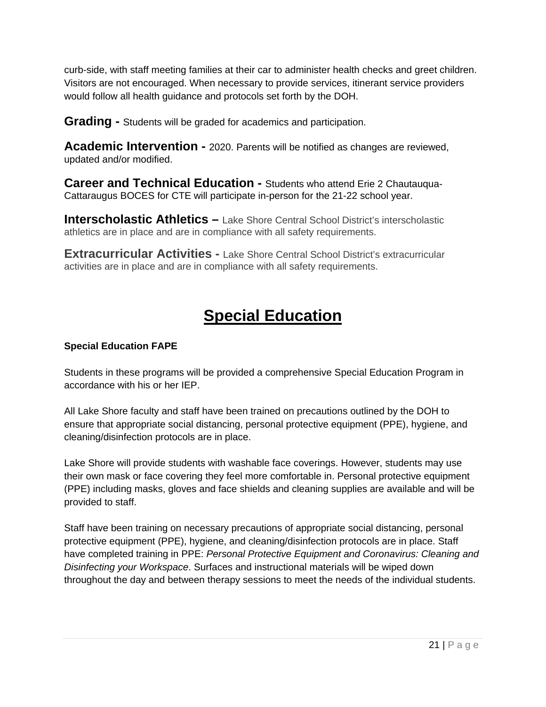curb-side, with staff meeting families at their car to administer health checks and greet children. Visitors are not encouraged. When necessary to provide services, itinerant service providers would follow all health guidance and protocols set forth by the DOH.

**Grading -** Students will be graded for academics and participation.

**Academic Intervention -** 2020. Parents will be notified as changes are reviewed, updated and/or modified.

**Career and Technical Education -** Students who attend Erie 2 Chautauqua-Cattaraugus BOCES for CTE will participate in-person for the 21-22 school year.

**Interscholastic Athletics –** Lake Shore Central School District's interscholastic athletics are in place and are in compliance with all safety requirements.

**Extracurricular Activities -** Lake Shore Central School District's extracurricular activities are in place and are in compliance with all safety requirements.

# **Special Education**

#### **Special Education FAPE**

Students in these programs will be provided a comprehensive Special Education Program in accordance with his or her IEP.

All Lake Shore faculty and staff have been trained on precautions outlined by the DOH to ensure that appropriate social distancing, personal protective equipment (PPE), hygiene, and cleaning/disinfection protocols are in place.

Lake Shore will provide students with washable face coverings. However, students may use their own mask or face covering they feel more comfortable in. Personal protective equipment (PPE) including masks, gloves and face shields and cleaning supplies are available and will be provided to staff.

Staff have been training on necessary precautions of appropriate social distancing, personal protective equipment (PPE), hygiene, and cleaning/disinfection protocols are in place. Staff have completed training in PPE: *Personal Protective Equipment and Coronavirus: Cleaning and Disinfecting your Workspace*. Surfaces and instructional materials will be wiped down throughout the day and between therapy sessions to meet the needs of the individual students.